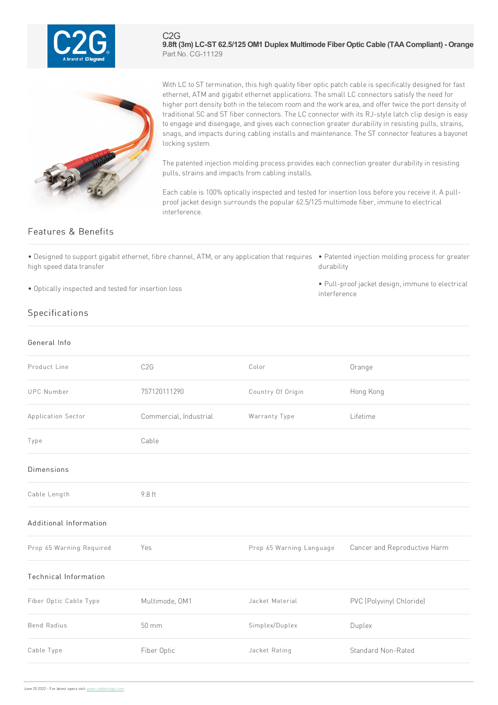

C2G **9.8ft (3m) LC-ST 62.5/125 OM1 Duplex Multimode Fiber Optic Cable (TAACompliant) - Orange** Part No. CG-11129



With LC to ST termination, this high quality fiber optic patch cable is specifically designed for fast ethernet, ATM and gigabit ethernet applications. The small LC connectors satisfy the need for higher port density both in the telecom room and the work area, and offer twice the port density of traditional SC and ST fiber connectors. The LC connector with its RJ-style latch clip design is easy to engage and disengage, and gives each connection greater durability in resisting pulls, strains, snags, and impacts during cabling installs and maintenance. The ST connector features a bayonet locking system.

The patented injection molding process provides each connection greater durability in resisting pulls, strains and impacts from cabling installs.

Each cable is 100% optically inspected and tested for insertion loss before you receive it. A pullproof jacket design surrounds the popular 62.5/125 multimode fiber, immune to electrical interference.

## Features & Benefits

• Designed to support gigabit ethernet, fibre channel, ATM, or any application that requires • Patented injection molding process for greater high speed data transfer

• Optically inspected and tested for insertion loss

- durability
- Pull-proof jacket design, immune to electrical interference

## Specifications

| General Info                 |                        |                          |                              |
|------------------------------|------------------------|--------------------------|------------------------------|
| Product Line                 | C <sub>2</sub> G       | Color                    | Orange                       |
| <b>UPC Number</b>            | 757120111290           | Country Of Origin        | Hong Kong                    |
| Application Sector           | Commercial, Industrial | Warranty Type            | Lifetime                     |
| Type                         | Cable                  |                          |                              |
| Dimensions                   |                        |                          |                              |
| Cable Length                 | 9.8 ft                 |                          |                              |
| Additional Information       |                        |                          |                              |
| Prop 65 Warning Required     | Yes                    | Prop 65 Warning Language | Cancer and Reproductive Harm |
| <b>Technical Information</b> |                        |                          |                              |
| Fiber Optic Cable Type       | Multimode, OM1         | Jacket Material          | PVC (Polyvinyl Chloride)     |
| <b>Bend Radius</b>           | 50 mm                  | Simplex/Duplex           | Duplex                       |
| Cable Type                   | Fiber Optic            | Jacket Rating            | Standard Non-Rated           |
|                              |                        |                          |                              |